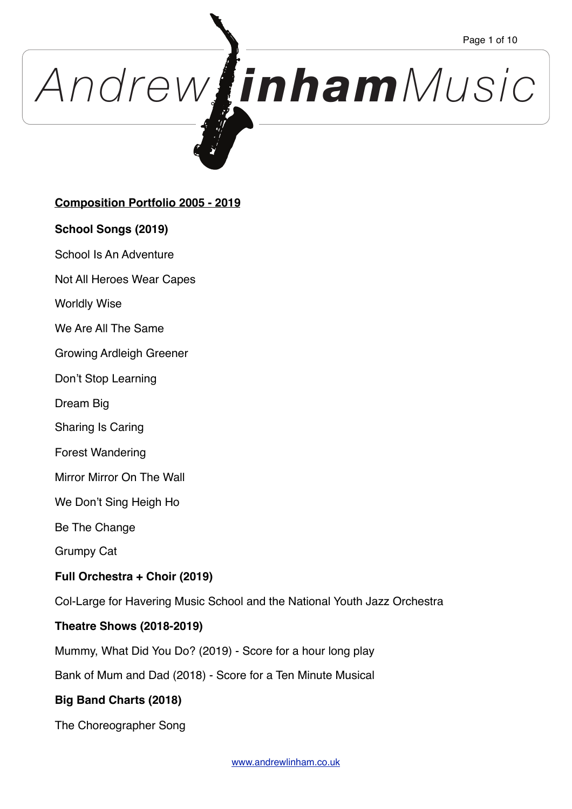# *Andrew inhamMusic*

# **Composition Portfolio 2005 - 2019**

## **School Songs (2019)**

School Is An Adventure

Not All Heroes Wear Capes

Worldly Wise

We Are All The Same

Growing Ardleigh Greener

Don't Stop Learning

Dream Big

Sharing Is Caring

Forest Wandering

Mirror Mirror On The Wall

We Don't Sing Heigh Ho

Be The Change

Grumpy Cat

## **Full Orchestra + Choir (2019)**

Col-Large for Havering Music School and the National Youth Jazz Orchestra

## **Theatre Shows (2018-2019)**

Mummy, What Did You Do? (2019) - Score for a hour long play

Bank of Mum and Dad (2018) - Score for a Ten Minute Musical

# **Big Band Charts (2018)**

The Choreographer Song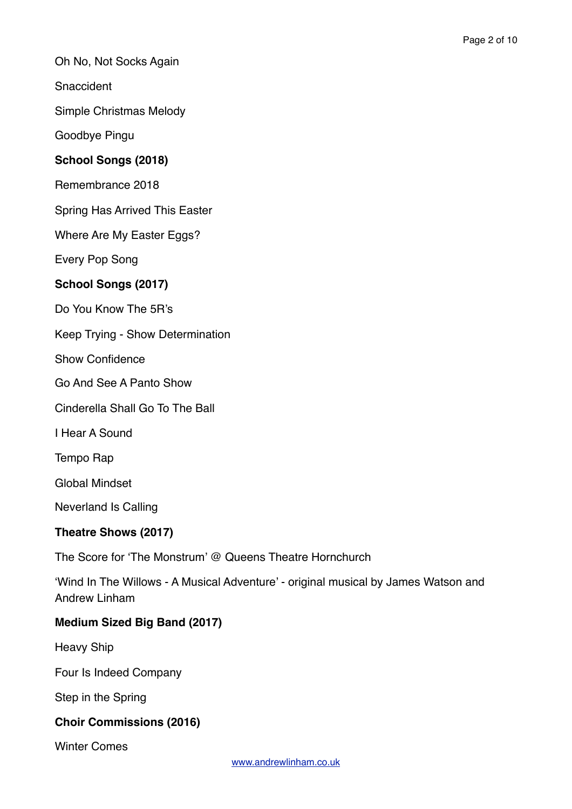Oh No, Not Socks Again

**Snaccident** 

Simple Christmas Melody

Goodbye Pingu

## **School Songs (2018)**

Remembrance 2018

Spring Has Arrived This Easter

Where Are My Easter Eggs?

Every Pop Song

## **School Songs (2017)**

Do You Know The 5R's

Keep Trying - Show Determination

Show Confidence

Go And See A Panto Show

Cinderella Shall Go To The Ball

I Hear A Sound

Tempo Rap

Global Mindset

Neverland Is Calling

## **Theatre Shows (2017)**

The Score for 'The Monstrum' @ Queens Theatre Hornchurch

'Wind In The Willows - A Musical Adventure' - original musical by James Watson and Andrew Linham

## **Medium Sized Big Band (2017)**

Heavy Ship

Four Is Indeed Company

Step in the Spring

## **Choir Commissions (2016)**

Winter Comes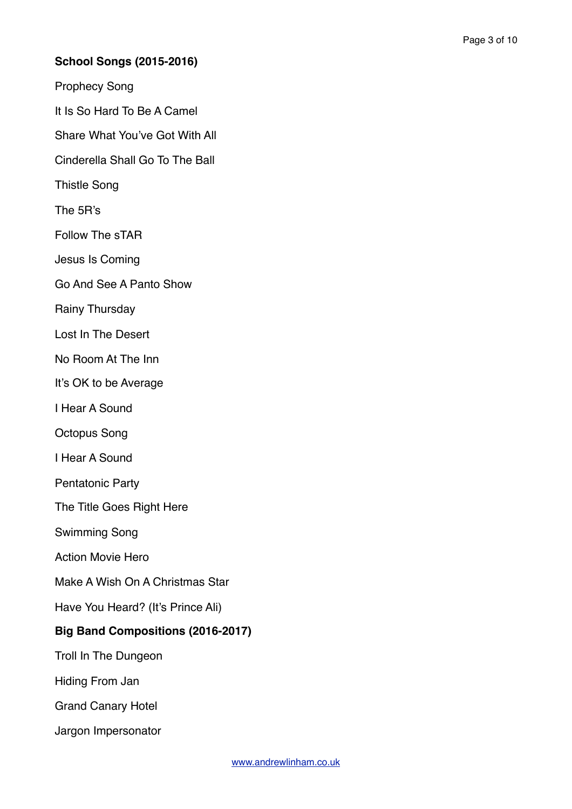# **School Songs (2015-2016)**

Prophecy Song

It Is So Hard To Be A Camel

Share What You've Got With All

Cinderella Shall Go To The Ball

Thistle Song

The 5R's

Follow The sTAR

Jesus Is Coming

Go And See A Panto Show

Rainy Thursday

Lost In The Desert

No Room At The Inn

It's OK to be Average

I Hear A Sound

Octopus Song

I Hear A Sound

Pentatonic Party

The Title Goes Right Here

Swimming Song

Action Movie Hero

Make A Wish On A Christmas Star

Have You Heard? (It's Prince Ali)

#### **Big Band Compositions (2016-2017)**

Troll In The Dungeon

Hiding From Jan

Grand Canary Hotel

Jargon Impersonator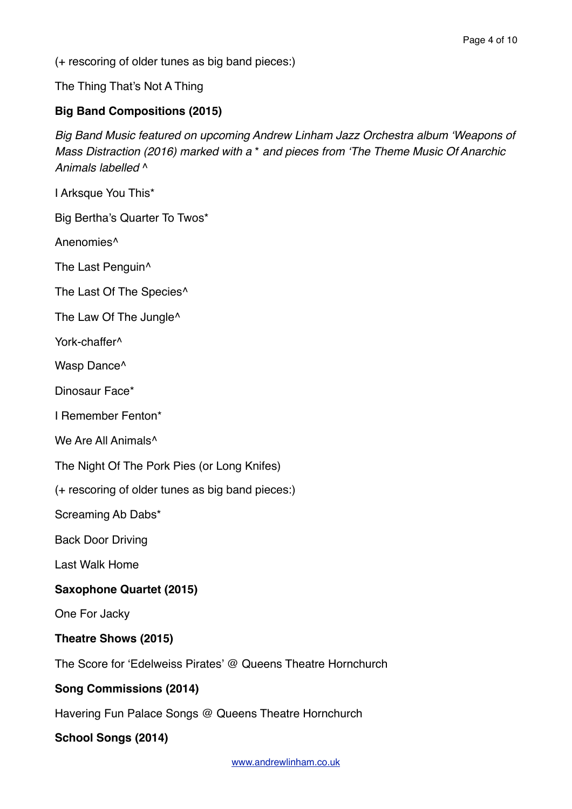(+ rescoring of older tunes as big band pieces:)

The Thing That's Not A Thing

# **Big Band Compositions (2015)**

*Big Band Music featured on upcoming Andrew Linham Jazz Orchestra album 'Weapons of Mass Distraction (2016) marked with a* \* *and pieces from 'The Theme Music Of Anarchic Animals labelled* ^

I Arksque You This\*

Big Bertha's Quarter To Twos\*

Anenomies^

The Last Penguin^

The Last Of The Species<sup>^</sup>

The Law Of The Jungle^

York-chaffer<sup>^</sup>

Wasp Dance<sup>^</sup>

Dinosaur Face\*

I Remember Fenton\*

We Are All Animals<sup>^</sup>

The Night Of The Pork Pies (or Long Knifes)

(+ rescoring of older tunes as big band pieces:)

Screaming Ab Dabs\*

Back Door Driving

Last Walk Home

## **Saxophone Quartet (2015)**

One For Jacky

## **Theatre Shows (2015)**

The Score for 'Edelweiss Pirates' @ Queens Theatre Hornchurch

## **Song Commissions (2014)**

Havering Fun Palace Songs @ Queens Theatre Hornchurch

## **School Songs (2014)**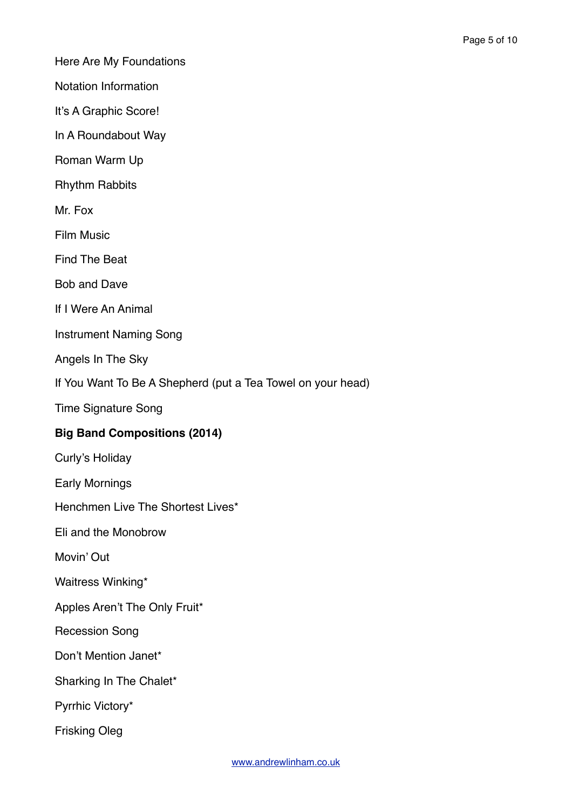Here Are My Foundations

Notation Information

It's A Graphic Score!

In A Roundabout Way

Roman Warm Up

Rhythm Rabbits

Mr. Fox

Film Music

Find The Beat

Bob and Dave

If I Were An Animal

Instrument Naming Song

Angels In The Sky

If You Want To Be A Shepherd (put a Tea Towel on your head)

Time Signature Song

## **Big Band Compositions (2014)**

Curly's Holiday

Early Mornings

Henchmen Live The Shortest Lives\*

Eli and the Monobrow

Movin' Out

Waitress Winking\*

Apples Aren't The Only Fruit\*

Recession Song

Don't Mention Janet\*

Sharking In The Chalet\*

Pyrrhic Victory\*

Frisking Oleg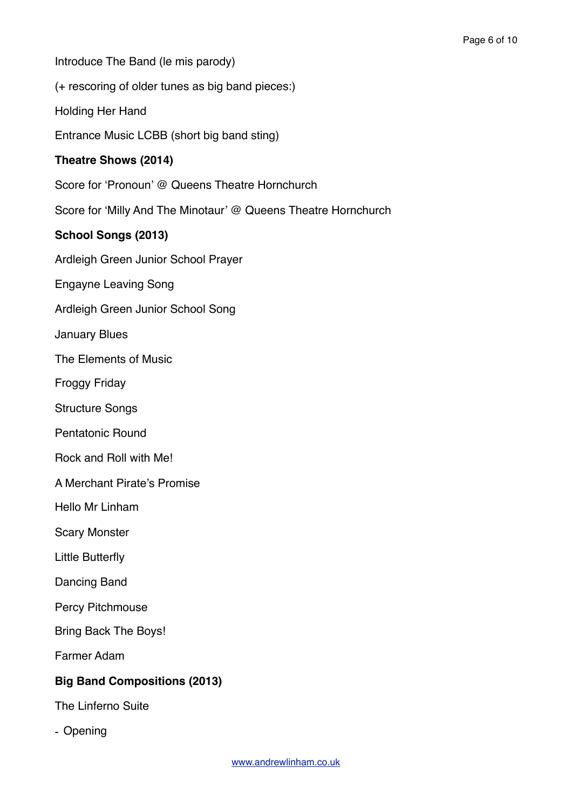Introduce The Band (le mis parody)

(+ rescoring of older tunes as big band pieces:)

Holding Her Hand

Entrance Music LCBB (short big band sting)

#### **Theatre Shows (2014)**

Score for 'Pronoun' @ Queens Theatre Hornchurch

Score for 'Milly And The Minotaur' @ Queens Theatre Hornchurch

#### **School Songs (2013)**

Ardleigh Green Junior School Prayer

Engayne Leaving Song

Ardleigh Green Junior School Song

January Blues

The Elements of Music

Froggy Friday

Structure Songs

Pentatonic Round

Rock and Roll with Me!

A Merchant Pirate's Promise

Hello Mr Linham

Scary Monster

Little Butterfly

Dancing Band

Percy Pitchmouse

Bring Back The Boys!

Farmer Adam

#### **Big Band Compositions (2013)**

The Linferno Suite

- Opening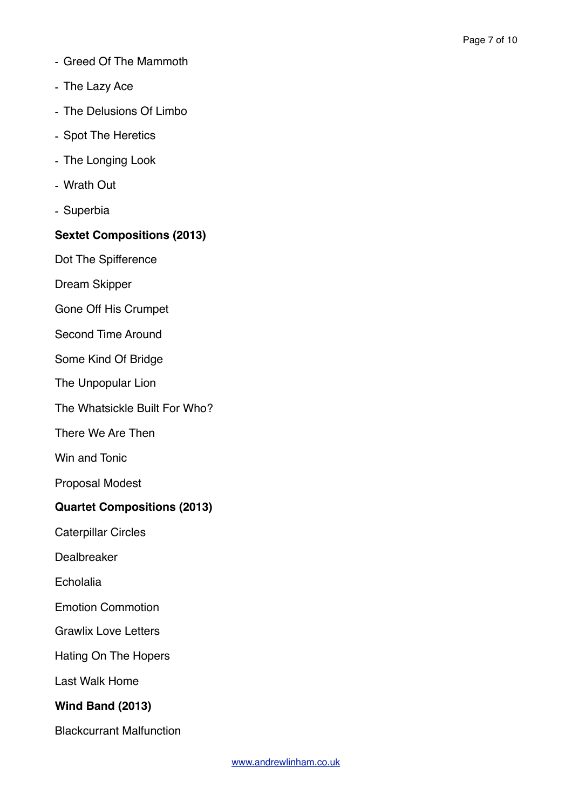- Greed Of The Mammoth
- The Lazy Ace
- The Delusions Of Limbo
- Spot The Heretics
- The Longing Look
- Wrath Out
- Superbia

## **Sextet Compositions (2013)**

Dot The Spifference

Dream Skipper

Gone Off His Crumpet

Second Time Around

Some Kind Of Bridge

The Unpopular Lion

The Whatsickle Built For Who?

There We Are Then

Win and Tonic

Proposal Modest

## **Quartet Compositions (2013)**

Caterpillar Circles

Dealbreaker

Echolalia

Emotion Commotion

Grawlix Love Letters

Hating On The Hopers

Last Walk Home

## **Wind Band (2013)**

Blackcurrant Malfunction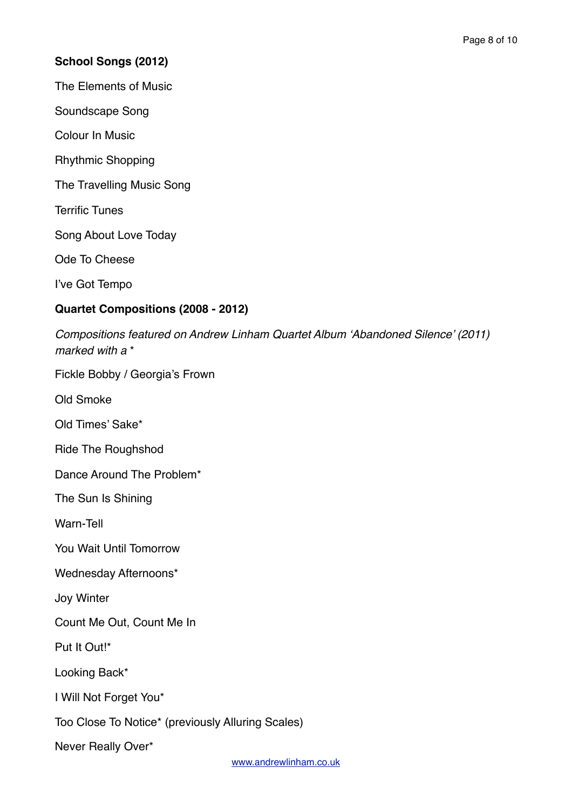# **School Songs (2012)**

The Elements of Music

Soundscape Song

Colour In Music

Rhythmic Shopping

The Travelling Music Song

Terrific Tunes

Song About Love Today

Ode To Cheese

I've Got Tempo

# **Quartet Compositions (2008 - 2012)**

*Compositions featured on Andrew Linham Quartet Album 'Abandoned Silence' (2011) marked with a* \*

Fickle Bobby / Georgia's Frown

Old Smoke

Old Times' Sake\*

Ride The Roughshod

Dance Around The Problem\*

The Sun Is Shining

Warn-Tell

You Wait Until Tomorrow

Wednesday Afternoons\*

Joy Winter

Count Me Out, Count Me In

Put It Out!\*

Looking Back\*

I Will Not Forget You\*

Too Close To Notice\* (previously Alluring Scales)

Never Really Over\*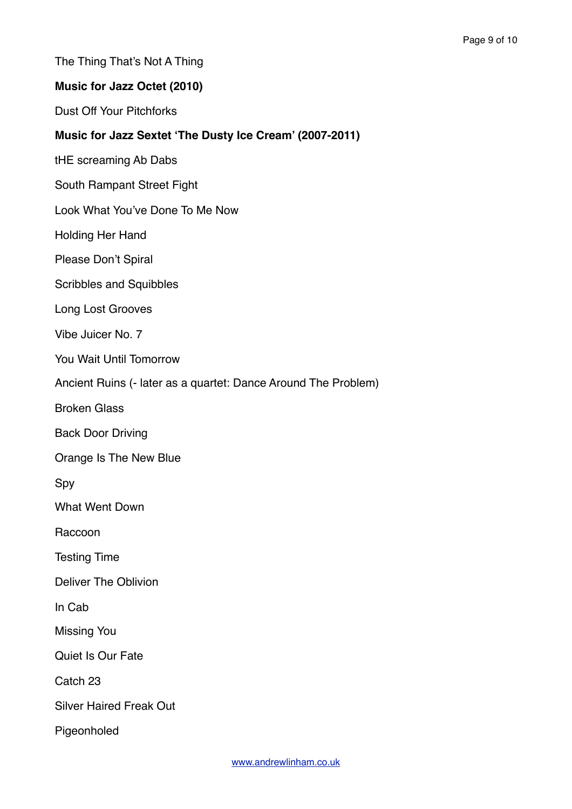The Thing That's Not A Thing

#### **Music for Jazz Octet (2010)**

Dust Off Your Pitchforks

#### **Music for Jazz Sextet 'The Dusty Ice Cream' (2007-2011)**

tHE screaming Ab Dabs

South Rampant Street Fight

Look What You've Done To Me Now

Holding Her Hand

Please Don't Spiral

Scribbles and Squibbles

Long Lost Grooves

Vibe Juicer No. 7

You Wait Until Tomorrow

Ancient Ruins (- later as a quartet: Dance Around The Problem)

Broken Glass

Back Door Driving

Orange Is The New Blue

Spy

What Went Down

Raccoon

Testing Time

Deliver The Oblivion

In Cab

Missing You

Quiet Is Our Fate

Catch 23

Silver Haired Freak Out

Pigeonholed